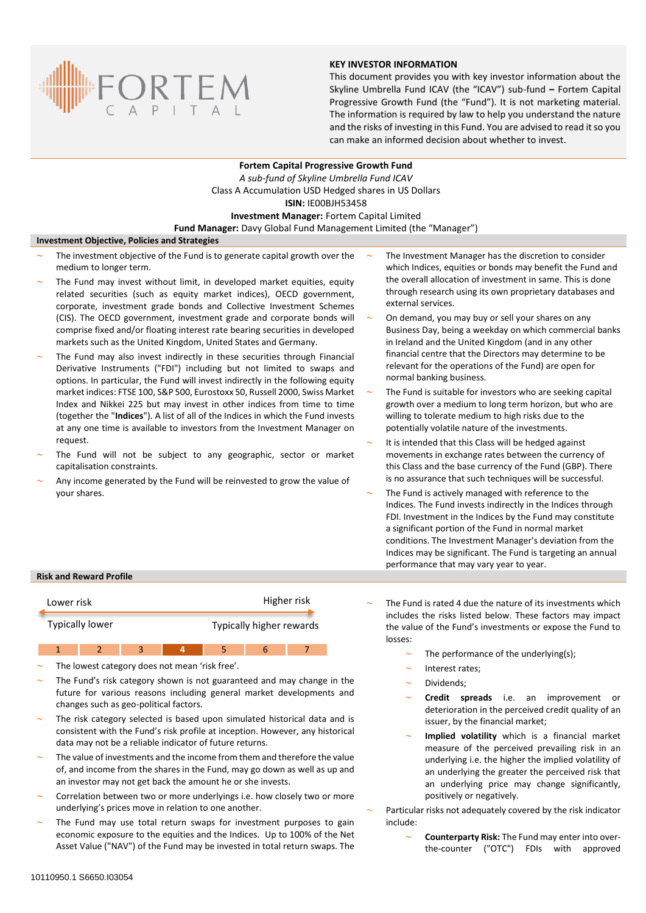

# **KEY INVESTOR INFORMATION**

This document provides you with key investor information about the Skyline Umbrella Fund ICAV (the "ICAV") sub-fund **–** Fortem Capital Progressive Growth Fund (the "Fund"). It is not marketing material. The information is required by law to help you understand the nature and the risks of investing in this Fund. You are advised to read it so you can make an informed decision about whether to invest.

## **Fortem Capital Progressive Growth Fund** *A sub-fund of Skyline Umbrella Fund ICAV* Class A Accumulation USD Hedged shares in US Dollars **ISIN:** IE00BJH53458 **Investment Manager:** Fortem Capital Limited

**Fund Manager:** Davy Global Fund Management Limited (the "Manager")

# **Investment Objective, Policies and Strategies**

- The investment objective of the Fund is to generate capital growth over the medium to longer term.
- The Fund may invest without limit, in developed market equities, equity related securities (such as equity market indices), OECD government, corporate, investment grade bonds and Collective Investment Schemes (CIS). The OECD government, investment grade and corporate bonds will comprise fixed and/or floating interest rate bearing securities in developed markets such as the United Kingdom, United States and Germany.
- The Fund may also invest indirectly in these securities through Financial Derivative Instruments ("FDI") including but not limited to swaps and options. In particular, the Fund will invest indirectly in the following equity market indices: FTSE 100, S&P 500, Eurostoxx 50, Russell 2000, Swiss Market Index and Nikkei 225 but may invest in other indices from time to time (together the "**Indices**"). A list of all of the Indices in which the Fund invests at any one time is available to investors from the Investment Manager on request.
- The Fund will not be subject to any geographic, sector or market capitalisation constraints.
- Any income generated by the Fund will be reinvested to grow the value of your shares.
- The Investment Manager has the discretion to consider which Indices, equities or bonds may benefit the Fund and the overall allocation of investment in same. This is done through research using its own proprietary databases and external services.
- On demand, you may buy or sell your shares on any Business Day, being a weekday on which commercial banks in Ireland and the United Kingdom (and in any other financial centre that the Directors may determine to be relevant for the operations of the Fund) are open for normal banking business.
- The Fund is suitable for investors who are seeking capital growth over a medium to long term horizon, but who are willing to tolerate medium to high risks due to the potentially volatile nature of the investments.
- It is intended that this Class will be hedged against movements in exchange rates between the currency of this Class and the base currency of the Fund (GBP). There is no assurance that such techniques will be successful.
- The Fund is actively managed with reference to the Indices. The Fund invests indirectly in the Indices through FDI. Investment in the Indices by the Fund may constitute a significant portion of the Fund in normal market conditions. The Investment Manager's deviation from the Indices may be significant. The Fund is targeting an annual performance that may vary year to year.

### **Risk and Reward Profile**



# 1 2 3 **4** 5 6 7

- The lowest category does not mean 'risk free'.
- The Fund's risk category shown is not guaranteed and may change in the future for various reasons including general market developments and changes such as geo-political factors.
- The risk category selected is based upon simulated historical data and is consistent with the Fund's risk profile at inception. However, any historical data may not be a reliable indicator of future returns.
- The value of investments and the income from them and therefore the value of, and income from the shares in the Fund, may go down as well as up and an investor may not get back the amount he or she invests.
- Correlation between two or more underlyings i.e. how closely two or more underlying's prices move in relation to one another.
- The Fund may use total return swaps for investment purposes to gain economic exposure to the equities and the Indices. Up to 100% of the Net Asset Value ("NAV") of the Fund may be invested in total return swaps. The
- The Fund is rated 4 due the nature of its investments which includes the risks listed below. These factors may impact the value of the Fund's investments or expose the Fund to losses:
	- The performance of the underlying(s);
	- Interest rates;
	- Dividends;
	- **Credit spreads** i.e. an improvement or deterioration in the perceived credit quality of an issuer, by the financial market;
	- **Implied volatility** which is a financial market measure of the perceived prevailing risk in an underlying i.e. the higher the implied volatility of an underlying the greater the perceived risk that an underlying price may change significantly, positively or negatively.
- Particular risks not adequately covered by the risk indicator include:
	- **Counterparty Risk:** The Fund may enter into overthe-counter ("OTC") FDIs with approved